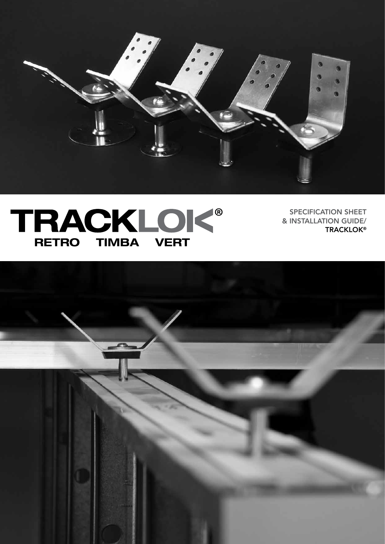

# TRACKLOK<sup>®</sup>

SPECIFICATION SHEET & INSTALLATION GUIDE/ **TRACKLOK®** 

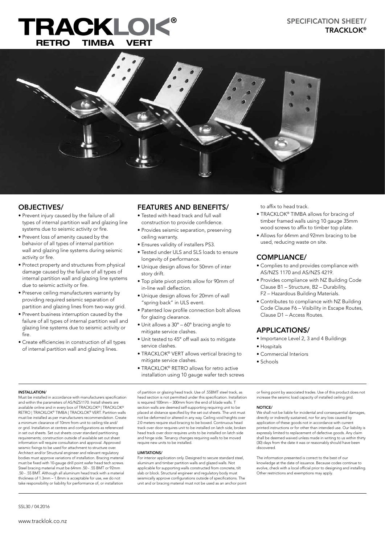## RACKLO RETRO TIMBA VERT



#### OBJECTIVES/

- Prevent injury caused by the failure of all types of internal partition wall and glazing line systems due to seismic activity or fire.
- Prevent loss of amenity caused by the behavior of all types of internal partition wall and glazing line systems during seismic activity or fire.
- Protect property and structures from physical damage caused by the failure of all types of internal partition wall and glazing line systems due to seismic activity or fire.
- Preserve ceiling manufacturers warranty by providing required seismic separation of partition and glazing lines from two-way grid.
- Prevent business interruption caused by the failure of all types of internal partition wall and glazing line systems due to seismic activity or fire.
- Create efficiencies in construction of all types of internal partition wall and glazing lines.

#### FEATURES AND BENEFITS/

- Tested with head track and full wall construction to provide confidence.
- Provides seismic separation, preserving ceiling warranty.
- Ensures validity of installers PS3.
- Tested under ULS and SLS loads to ensure longevity of performance.
- Unique design allows for 50mm of inter story drift.
- Top plate pivot points allow for 90mm of in-line wall deflection.
- Unique design allows for 20mm of wall "spring back" in ULS event.
- Patented low profile connection bolt allows for glazing clearance.
- Unit allows a 30° 60° bracing angle to mitigate service clashes.
- Unit tested to 45° off wall axis to mitigate service clashes.
- TRACKLOK® VERT allows vertical bracing to mitigate service clashes.
- TRACKLOK® RETRO allows for retro active

to affix to head track.

- TRACKLOK® TIMBA allows for bracing of timber framed walls using 10 gauge 35mm wood screws to affix to timber top plate.
- Allows for 64mm and 92mm bracing to be used, reducing waste on site.

#### COMPLIANCE/

- Complies to and provides compliance with AS/NZS 1170 and AS/NZS 4219.
- Provides compliance with NZ Building Code Clause B1 – Structure, B2 – Durability, F2 – Hazardous Building Materials.
- Contributes to compliance with NZ Building Code Clause F6 – Visibility in Escape Routes, Clause D1 – Access Routes.

#### APPLICATIONS/

- Importance Level 2, 3 and 4 Buildings
- Hospitals
- Commercial Interiors
- Schools

#### INSTALLATION/

Must be installed in accordance with manufacturers specification and within the parameters of AS/NZS1170. Install sheets are available online and in every box of TRACKLOK® | TRACKLOK® RETRO | TRACKLOK® TIMBA | TRACKLOK® VERT. Partition walls must be installed as per manufacturers recommendation. Create a minimum clearance of 10mm from unit to ceiling tile and/ or grid. Installation at centres and configurations as referenced in set out sheets. Set out sheets cover standard partitioning requirements; construction outside of available set out sheet information will require consultation and approval. Approved seismic fixings to be used for attachment to structure over. Architect and/or Structural engineer and relevant regulatory bodies must approve variations of installation. Bracing material must be fixed with 10-gauge drill point wafer head tech screws. Steel bracing material must be 64mm .50 - .55 BMT or 92mm .50 - .55 BMT. Although all aluminum head track with a material thickness of 1.3mm – 1.8mm is acceptable for use, we do not take responsibility or liability for performance of, or installation

of partition or glazing head track. Use of .55BMT steel track, as head section is not permitted under this specification. Installation is required 100mm – 300mm from the end of blade walls. T section walls are deemed self-supporting requiring unit to be placed at distance specified by the set out sheets. The unit must not be deformed or altered in any way. Ceiling void heights over 2.0 meters require stud bracing to be boxed. Continuous head track over door requires unit to be installed on latch side, broken head track over door requires units to be installed on latch side and hinge side. Tenancy changes requiring walls to be moved require new units to be installed.

#### LIMITATIONS/

For interior application only. Designed to secure standard steel, aluminum and timber partition walls and glazed walls. Not applicable for supporting walls constructed from concrete, tilt slab or block. Structural engineer and regulatory body must seismically approve configurations outside of specifications. The unit and or bracing material must not be used as an anchor point or fixing point by associated trades. Use of this product does not increase the seismic load capacity of installed ceiling grid.

#### NOTICE/

We shall not be liable for incidental and consequential damages, directly or indirectly sustained, nor for any loss caused by application of these goods not in accordance with current printed instructions or for other than intended use. Our liability is expressly limited to replacement of defective goods. Any claim shall be deemed waived unless made in writing to us within thirty (30) days from the date it was or reasonably should have been discovered.

The information presented is correct to the best of our knowledge at the date of issuance. Because codes continue to evolve, check with a local official prior to designing and installing. Other restrictions and exemptions may apply.

installation using 10 gauge wafer tech screws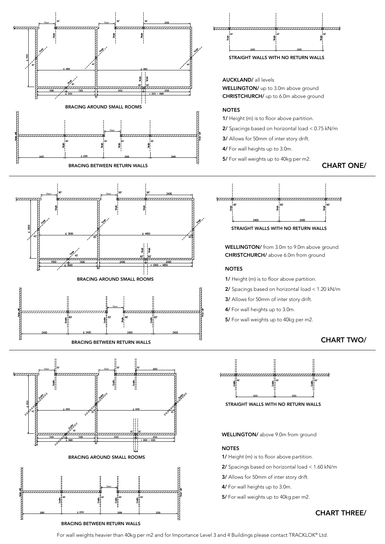









AUCKLAND/ all levels WELLINGTON/ up to 3.0m above ground CHRISTCHURCH/ up to 6.0m above ground

#### **NOTES**

1/ Height (m) is to floor above partition.

- 2/ Spacings based on horizontal load < 0.75 kN/m
- 3/ Allows for 50mm of inter story drift.
- 4/ For wall heights up to 3.0m.
- 5/ For wall weights up to 40kg per m2.

#### CHART ONE/



STRAIGHT WALLS WITH NO RETURN WALLS

WELLINGTON/ from 3.0m to 9.0m above ground CHRISTCHURCH/ above 6.0m from ground

#### **NOTES**

1/ Height (m) is to floor above partition.

- 2/ Spacings based on horizontal load < 1.20 kN/m
- 3/ Allows for 50mm of inter story drift.
- 4/ For wall heights up to 3.0m.
- 5/ For wall weights up to 40kg per m2.

#### CHART TWO/



STRAIGHT WALLS WITH NO RETURN WALLS

WELLINGTON/ above 9.0m from ground

#### NOTES

- 1/ Height (m) is to floor above partition.
- 2/ Spacings based on horizontal load < 1.60 kN/m
- 3/ Allows for 50mm of inter story drift.
- 4/ For wall heights up to 3.0m.
- 5/ For wall weights up to 40kg per m2.

#### CHART THREE/

BRACING BETWEEN RETURN WALLS

For wall weights heavier than 40kg per m2 and for Importance Level 3 and 4 Buildings please contact TRACKLOK® Ltd.